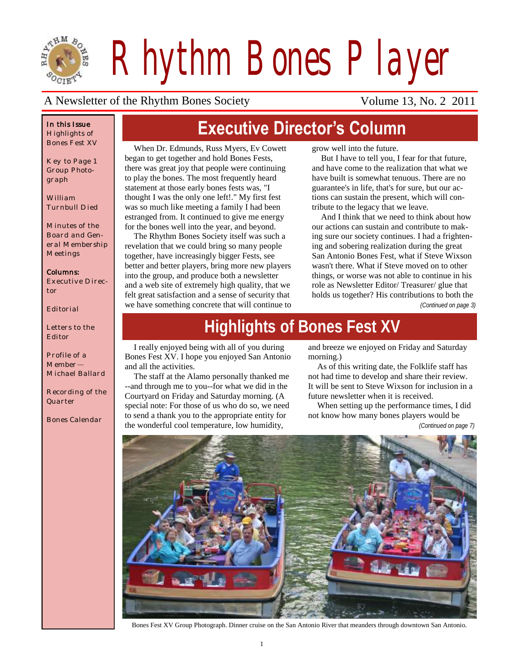

*Rhythm Bones Player*

**Executive Director's Column**

### A Newsletter of the Rhythm Bones Society Volume 13, No. 2 2011

### *In this Issue Highlights of Bones Fest XV*

*Key to Page 1 Group Photograph*

*William Turnbull Died*

*Minutes of the Board and General Membership Meetings*

### *Columns:*

*Executive Director*

*Editorial*

*Letters to the Editor*

*Profile of a Member— Michael Ballard*

*Recording of the Quarter*

*Bones Calendar*

When Dr. Edmunds, Russ Myers, Ev Cowett began to get together and hold Bones Fests, there was great joy that people were continuing to play the bones. The most frequently heard statement at those early bones fests was, "I thought I was the only one left!." My first fest was so much like meeting a family I had been estranged from. It continued to give me energy for the bones well into the year, and beyond.

The Rhythm Bones Society itself was such a revelation that we could bring so many people together, have increasingly bigger Fests, see better and better players, bring more new players into the group, and produce both a newsletter and a web site of extremely high quality, that we felt great satisfaction and a sense of security that we have something concrete that will continue to grow well into the future.

But I have to tell you, I fear for that future, and have come to the realization that what we have built is somewhat tenuous. There are no guarantee's in life, that's for sure, but our actions can sustain the present, which will contribute to the legacy that we leave.

And I think that we need to think about how our actions can sustain and contribute to making sure our society continues. I had a frightening and sobering realization during the great San Antonio Bones Fest, what if Steve Wixson wasn't there. What if Steve moved on to other things, or worse was not able to continue in his role as Newsletter Editor/ Treasurer/ glue that holds us together? His contributions to both the

*(Continued on page 3)*

# **Highlights of Bones Fest XV**

I really enjoyed being with all of you during Bones Fest XV. I hope you enjoyed San Antonio and all the activities.

The staff at the Alamo personally thanked me --and through me to you--for what we did in the Courtyard on Friday and Saturday morning. (A special note: For those of us who do so, we need to send a thank you to the appropriate entity for the wonderful cool temperature, low humidity,

and breeze we enjoyed on Friday and Saturday morning.)

As of this writing date, the Folklife staff has not had time to develop and share their review. It will be sent to Steve Wixson for inclusion in a future newsletter when it is received.

When setting up the performance times, I did not know how many bones players would be

*(Continued on page 7)*



Bones Fest XV Group Photograph. Dinner cruise on the San Antonio River that meanders through downtown San Antonio.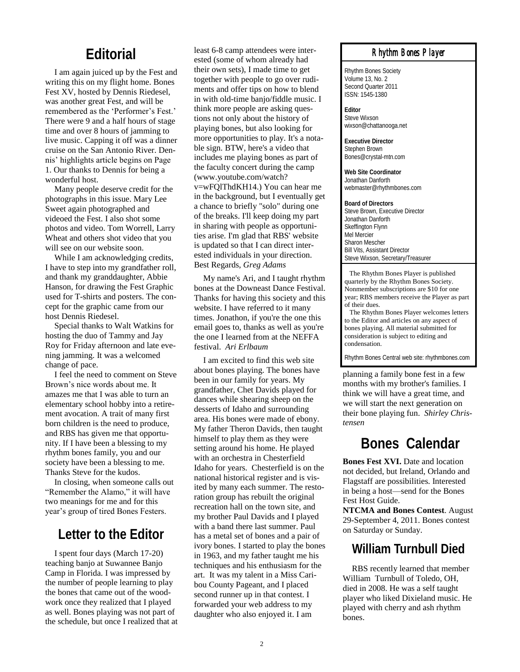### **Editorial**

I am again juiced up by the Fest and writing this on my flight home. Bones Fest XV, hosted by Dennis Riedesel, was another great Fest, and will be remembered as the 'Performer's Fest.' There were 9 and a half hours of stage time and over 8 hours of jamming to live music. Capping it off was a dinner cruise on the San Antonio River. Dennis" highlights article begins on Page 1. Our thanks to Dennis for being a wonderful host.

Many people deserve credit for the photographs in this issue. Mary Lee Sweet again photographed and videoed the Fest. I also shot some photos and video. Tom Worrell, Larry Wheat and others shot video that you will see on our website soon.

While I am acknowledging credits, I have to step into my grandfather roll, and thank my granddaughter, Abbie Hanson, for drawing the Fest Graphic used for T-shirts and posters. The concept for the graphic came from our host Dennis Riedesel.

Special thanks to Walt Watkins for hosting the duo of Tammy and Jay Roy for Friday afternoon and late evening jamming. It was a welcomed change of pace.

I feel the need to comment on Steve Brown"s nice words about me. It amazes me that I was able to turn an elementary school hobby into a retirement avocation. A trait of many first born children is the need to produce, and RBS has given me that opportunity. If I have been a blessing to my rhythm bones family, you and our society have been a blessing to me. Thanks Steve for the kudos.

In closing, when someone calls out "Remember the Alamo," it will have two meanings for me and for this year"s group of tired Bones Festers.

### **Letter to the Editor**

I spent four days (March 17-20) teaching banjo at Suwannee Banjo Camp in Florida. I was impressed by the number of people learning to play the bones that came out of the woodwork once they realized that I played as well. Bones playing was not part of the [schedule,](http://suwanneebanjocamp.com/) but once I realized that at least 6-8 camp attendees were interested (some of whom already had their own sets), I made time to get together with people to go over rudiments and offer tips on how to blend in with old-time banjo/fiddle music. I think more people are asking questions not only about the history of playing bones, but also looking for more opportunities to play. It's a notable sign. BTW, here's a video that includes me playing bones as part of the [faculty concert](http://www.youtube.com/watch?v=wFQlThdKH14) during the camp (www.youtube.com/watch? v=wFQlThdKH14.) You can hear me in the background, but I eventually get a chance to briefly "solo" during one of the breaks. I'll keep doing my part in sharing with people as opportunities arise. I'm glad that RBS' website is updated so that I can direct interested individuals in your direction. Best Regards, *Greg Adams*

My name's Ari, and I taught rhythm bones at the Downeast Dance Festival. Thanks for having this society and this website. I have referred to it many times. Jonathon, if you're the one this email goes to, thanks as well as you're the one I learned from at the NEFFA festival. *Ari Erlbaum* 

I am excited to find this web site about bones playing. The bones have been in our family for years. My grandfather, Chet Davids played for dances while shearing sheep on the desserts of Idaho and surrounding area. His bones were made of ebony. My father Theron Davids, then taught himself to play them as they were setting around his home. He played with an orchestra in Chesterfield Idaho for years. Chesterfield is on the national historical register and is visited by many each summer. The restoration group has rebuilt the original recreation hall on the town site, and my brother Paul Davids and I played with a band there last summer. Paul has a metal set of bones and a pair of ivory bones. I started to play the bones in 1963, and my father taught me his techniques and his enthusiasm for the art. It was my talent in a Miss Caribou County Pageant, and I placed second runner up in that contest. I forwarded your web address to my daughter who also enjoyed it. I am

### *Rhythm Bones Player*

Rhythm Bones Society Volume 13, No. 2 Second Quarter 2011 ISSN: 1545-1380

**Editor** Steve Wixson wixson@chattanooga.net

**Executive Director** Stephen Brown Bones@crystal-mtn.com

**Web Site Coordinator** Jonathan Danforth webmaster@rhythmbones.com

**Board of Directors** Steve Brown, Executive Director Jonathan Danforth Skeffington Flynn Mel Mercier Sharon Mescher Bill Vits, Assistant Director Steve Wixson, Secretary/Treasurer

 The Rhythm Bones Player is published quarterly by the Rhythm Bones Society. Nonmember subscriptions are \$10 for one year; RBS members receive the Player as part of their dues.

 The Rhythm Bones Player welcomes letters to the Editor and articles on any aspect of bones playing. All material submitted for consideration is subject to editing and condensation.

Rhythm Bones Central web site: rhythmbones.com

planning a family bone fest in a few months with my brother's families. I think we will have a great time, and we will start the next generation on their bone playing fun. *Shirley Christensen*

### **Bones Calendar**

**Bones Fest XVI.** Date and location not decided, but Ireland, Orlando and Flagstaff are possibilities. Interested in being a host—send for the Bones Fest Host Guide.

**NTCMA and Bones Contest**. August 29-September 4, 2011. Bones contest on Saturday or Sunday.

### **William Turnbull Died**

RBS recently learned that member William Turnbull of Toledo, OH, died in 2008. He was a self taught player who liked Dixieland music. He played with cherry and ash rhythm bones.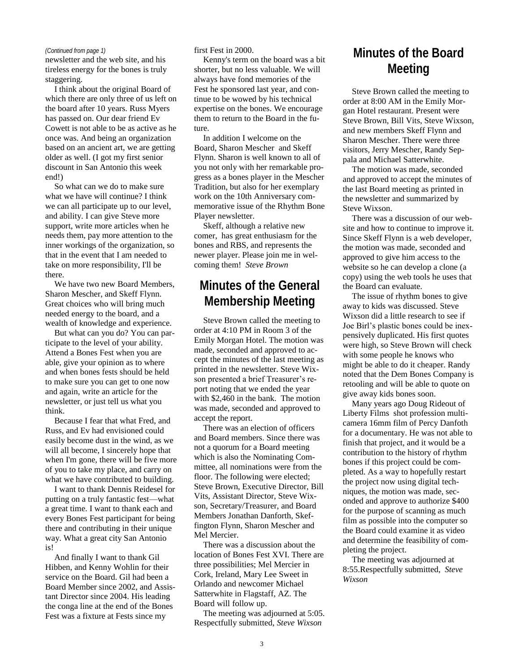newsletter and the web site, and his tireless energy for the bones is truly staggering.

I think about the original Board of which there are only three of us left on the board after 10 years. Russ Myers has passed on. Our dear friend Ev Cowett is not able to be as active as he once was. And being an organization based on an ancient art, we are getting older as well. (I got my first senior discount in San Antonio this week end!)

So what can we do to make sure what we have will continue? I think we can all participate up to our level, and ability. I can give Steve more support, write more articles when he needs them, pay more attention to the inner workings of the organization, so that in the event that I am needed to take on more responsibility, I'll be there.

We have two new Board Members, Sharon Mescher, and Skeff Flynn. Great choices who will bring much needed energy to the board, and a wealth of knowledge and experience.

But what can you do? You can participate to the level of your ability. Attend a Bones Fest when you are able, give your opinion as to where and when bones fests should be held to make sure you can get to one now and again, write an article for the newsletter, or just tell us what you think.

Because I fear that what Fred, and Russ, and Ev had envisioned could easily become dust in the wind, as we will all become, I sincerely hope that when I'm gone, there will be five more of you to take my place, and carry on what we have contributed to building.

I want to thank Dennis Reidesel for putting on a truly fantastic fest—what a great time. I want to thank each and every Bones Fest participant for being there and contributing in their unique way. What a great city San Antonio is!

And finally I want to thank Gil Hibben, and Kenny Wohlin for their service on the Board. Gil had been a Board Member since 2002, and Assistant Director since 2004. His leading the conga line at the end of the Bones Fest was a fixture at Fests since my

*(Continued from page 1)* first Fest in 2000.

Kenny's term on the board was a bit shorter, but no less valuable. We will always have fond memories of the Fest he sponsored last year, and continue to be wowed by his technical expertise on the bones. We encourage them to return to the Board in the future.

In addition I welcome on the Board, Sharon Mescher and Skeff Flynn. Sharon is well known to all of you not only with her remarkable progress as a bones player in the Mescher Tradition, but also for her exemplary work on the 10th Anniversary commemorative issue of the Rhythm Bone Player newsletter.

Skeff, although a relative new comer, has great enthusiasm for the bones and RBS, and represents the newer player. Please join me in welcoming them! *Steve Brown*

### **Minutes of the General Membership Meeting**

Steve Brown called the meeting to order at 4:10 PM in Room 3 of the Emily Morgan Hotel. The motion was made, seconded and approved to accept the minutes of the last meeting as printed in the newsletter. Steve Wixson presented a brief Treasurer's report noting that we ended the year with \$2,460 in the bank. The motion was made, seconded and approved to accept the report.

There was an election of officers and Board members. Since there was not a quorum for a Board meeting which is also the Nominating Committee, all nominations were from the floor. The following were elected; Steve Brown, Executive Director, Bill Vits, Assistant Director, Steve Wixson, Secretary/Treasurer, and Board Members Jonathan Danforth, Skeffington Flynn, Sharon Mescher and Mel Mercier.

There was a discussion about the location of Bones Fest XVI. There are three possibilities; Mel Mercier in Cork, Ireland, Mary Lee Sweet in Orlando and newcomer Michael Satterwhite in Flagstaff, AZ. The Board will follow up.

The meeting was adjourned at 5:05. Respectfully submitted, *Steve Wixson*

### **Minutes of the Board Meeting**

Steve Brown called the meeting to order at 8:00 AM in the Emily Morgan Hotel restaurant. Present were Steve Brown, Bill Vits, Steve Wixson, and new members Skeff Flynn and Sharon Mescher. There were three visitors, Jerry Mescher, Randy Seppala and Michael Satterwhite.

The motion was made, seconded and approved to accept the minutes of the last Board meeting as printed in the newsletter and summarized by Steve Wixson.

There was a discussion of our website and how to continue to improve it. Since Skeff Flynn is a web developer, the motion was made, seconded and approved to give him access to the website so he can develop a clone (a copy) using the web tools he uses that the Board can evaluate.

The issue of rhythm bones to give away to kids was discussed. Steve Wixson did a little research to see if Joe Birl"s plastic bones could be inexpensively duplicated. His first quotes were high, so Steve Brown will check with some people he knows who might be able to do it cheaper. Randy noted that the Dem Bones Company is retooling and will be able to quote on give away kids bones soon.

Many years ago Doug Rideout of Liberty Films shot profession multicamera 16mm film of Percy Danfoth for a documentary. He was not able to finish that project, and it would be a contribution to the history of rhythm bones if this project could be completed. As a way to hopefully restart the project now using digital techniques, the motion was made, seconded and approve to authorize \$400 for the purpose of scanning as much film as possible into the computer so the Board could examine it as video and determine the feasibility of completing the project.

The meeting was adjourned at 8:55.Respectfully submitted, *Steve Wixson*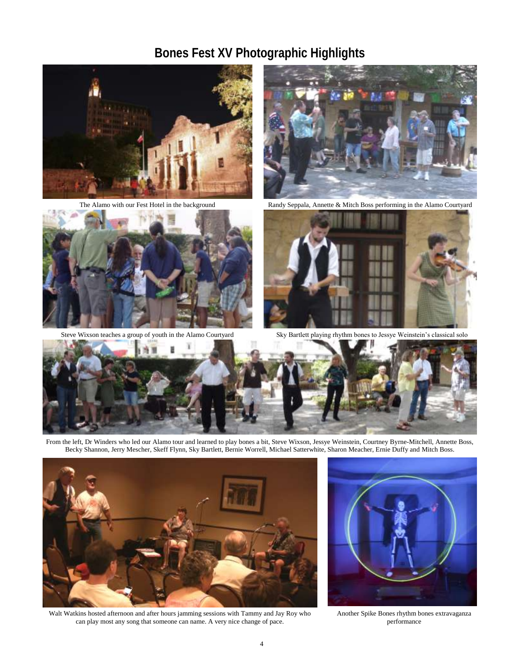# **Bones Fest XV Photographic Highlights**



The Alamo with our Fest Hotel in the background



Steve Wixson teaches a group of youth in the Alamo Courtyard



Randy Seppala, Annette & Mitch Boss performing in the Alamo Courtyard



Sky Bartlett playing rhythm bones to Jessye Weinstein"s classical solo



From the left, Dr Winders who led our Alamo tour and learned to play bones a bit, Steve Wixson, Jessye Weinstein, Courtney Byrne-Mitchell, Annette Boss, Becky Shannon, Jerry Mescher, Skeff Flynn, Sky Bartlett, Bernie Worrell, Michael Satterwhite, Sharon Meacher, Ernie Duffy and Mitch Boss.



Walt Watkins hosted afternoon and after hours jamming sessions with Tammy and Jay Roy who can play most any song that someone can name. A very nice change of pace.



Another Spike Bones rhythm bones extravaganza performance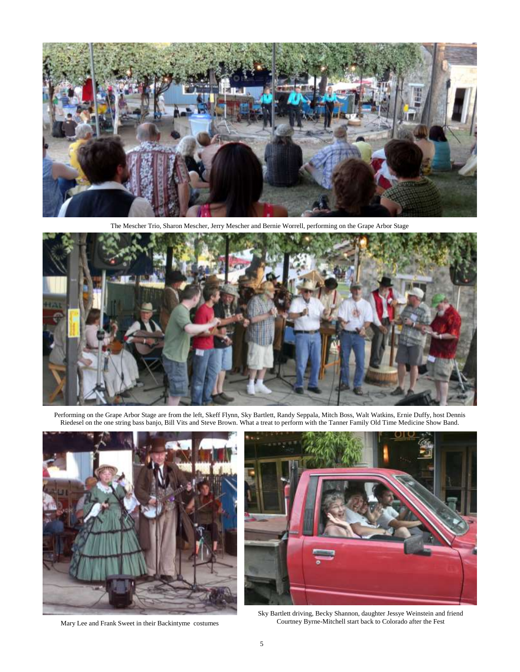

The Mescher Trio, Sharon Mescher, Jerry Mescher and Bernie Worrell, performing on the Grape Arbor Stage



Performing on the Grape Arbor Stage are from the left, Skeff Flynn, Sky Bartlett, Randy Seppala, Mitch Boss, Walt Watkins, Ernie Duffy, host Dennis Riedesel on the one string bass banjo, Bill Vits and Steve Brown. What a treat to perform with the Tanner Family Old Time Medicine Show Band.



Mary Lee and Frank Sweet in their Backintyme costumes



Sky Bartlett driving, Becky Shannon, daughter Jessye Weinstein and friend Courtney Byrne-Mitchell start back to Colorado after the Fest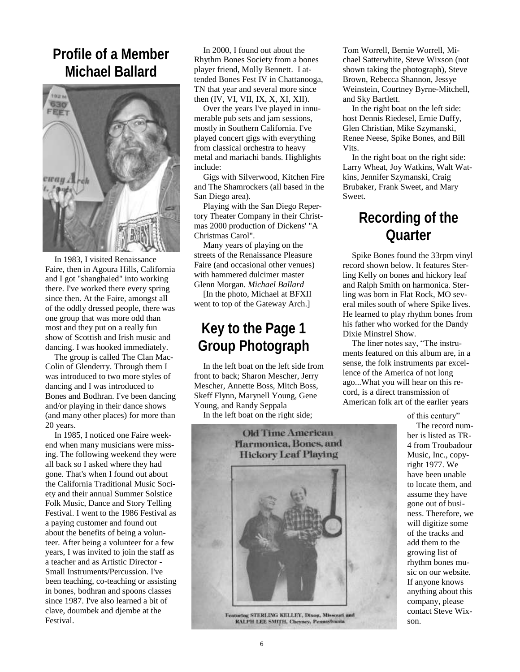# **Profile of a Member Michael Ballard**



In 1983, I visited [Renaissance](http://recfair.com/socal/)  [Faire,](http://recfair.com/socal/) then in Agoura Hills, California and I got "shanghaied" into working there. I've worked there every spring since then. At the Faire, amongst all of the oddly dressed people, there was one group that was more odd than most and they put on a really fun show of Scottish and Irish music and dancing. I was hooked immediately.

The group is called [The Clan Mac-](http://www.maccolin.com/index.html)[Colin of Glenderry.](http://www.maccolin.com/index.html) Through them I was introduced to two more styles of dancing and I was introduced to [Bones](http://www.rhythmbones.com/) and [Bodhran.](http://www.ceolas.org/instruments/bodhran/) I've been dancing and/or playing in their dance shows (and many other places) for more than 20 years.

In 1985, I noticed one Faire weekend when many musicians were missing. The following weekend they were all back so I asked where they had gone. That's when I found out about the [California Traditional Music Soci](http://www.ctmsfolkmusic.org/)[ety](http://www.ctmsfolkmusic.org/) and their annual [Summer Solstice](http://www.ctmsfolkmusic.org/festival/Solstice/default.asp)  [Folk Music, Dance and Story Telling](http://www.ctmsfolkmusic.org/festival/Solstice/default.asp)  [Festival.](http://www.ctmsfolkmusic.org/festival/Solstice/default.asp) I went to the 1986 Festival as a paying customer and found out about the benefits of being a [volun](http://www.ctmsfolkmusic.org/volunteer/festival/default.asp)[teer.](http://www.ctmsfolkmusic.org/volunteer/festival/default.asp) After being a volunteer for a few years, I was invited to join the staff as a teacher and as Artistic Director - Small Instruments/Percussion. I've been teaching, co-teaching or assisting in bones, bodhran and spoons classes since 1987. I've also learned a bit of clave, doumbek and djembe at the Festival.

In 2000, I found out about the [Rhythm Bones Society](http://www.rhythmbones.com/index.html) from a bones player friend, Molly Bennett. I attended Bones Fest IV in Chattanooga, TN that year and several more since then (IV, VI, VII, IX, X, XI, XII).

Over the years I've played in innumerable pub sets and jam sessions, mostly in Southern California. I've played concert gigs with everything from classical orchestra to heavy metal and mariachi bands. Highlights include:

Gigs with [Silverwood,](http://www.silverwood-music.com/) Kitchen Fire and [The Shamrockers](http://www.shamrockers.com/) (all based in the San Diego area).

Playing with the [San Diego Reper](http://www.sandiegorep.com/)[tory Theater Company](http://www.sandiegorep.com/) in their Christmas 2000 production of Dickens' "A Christmas Carol".

Many years of playing on the streets of the Renaissance Pleasure Faire (and occasional other venues) with hammered dulcimer master [Glenn Morgan.](http://www.glennmorgandulcimer.com/) *Michael Ballard*

[In the photo, Michael at BFXII went to top of the Gateway Arch.]

# **Key to the Page 1 Group Photograph**

In the left boat on the left side from front to back; Sharon Mescher, Jerry Mescher, Annette Boss, Mitch Boss, Skeff Flynn, Marynell Young, Gene Young, and Randy Seppala

In the left boat on the right side;



**Featuring STERLING KELLEY, Dixon, Missouri and RALPH LEE SMITH, Cheyney, Pennsylvania** 

Tom Worrell, Bernie Worrell, Michael Satterwhite, Steve Wixson (not shown taking the photograph), Steve Brown, Rebecca Shannon, Jessye Weinstein, Courtney Byrne-Mitchell, and Sky Bartlett.

In the right boat on the left side: host Dennis Riedesel, Ernie Duffy, Glen Christian, Mike Szymanski, Renee Neese, Spike Bones, and Bill Vits.

In the right boat on the right side: Larry Wheat, Joy Watkins, Walt Watkins, Jennifer Szymanski, Craig Brubaker, Frank Sweet, and Mary Sweet.

# **Recording of the Quarter**

Spike Bones found the 33rpm vinyl record shown below. It features Sterling Kelly on bones and hickory leaf and Ralph Smith on harmonica. Sterling was born in Flat Rock, MO several miles south of where Spike lives. He learned to play rhythm bones from his father who worked for the Dandy Dixie Minstrel Show.

The liner notes say, "The instruments featured on this album are, in a sense, the folk instruments par excellence of the America of not long ago...What you will hear on this record, is a direct transmission of American folk art of the earlier years

of this century"

The record number is listed as TR-4 from Troubadour Music, Inc., copyright 1977. We have been unable to locate them, and assume they have gone out of business. Therefore, we will digitize some of the tracks and add them to the growing list of rhythm bones music on our website. If anyone knows anything about this company, please contact Steve Wixson.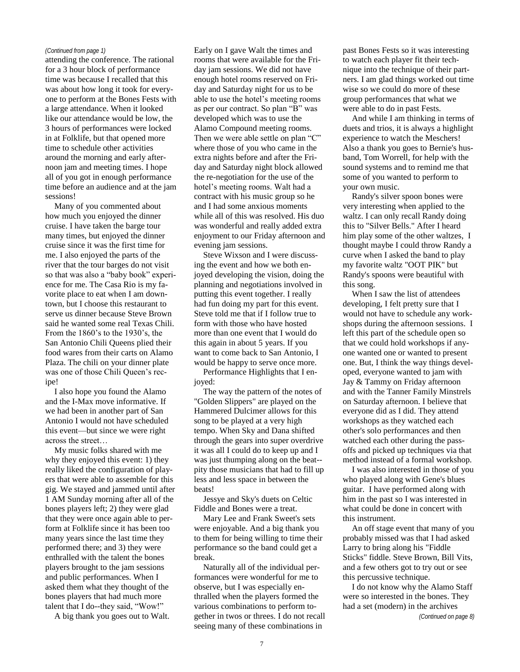attending the conference. The rational for a 3 hour block of performance time was because I recalled that this was about how long it took for everyone to perform at the Bones Fests with a large attendance. When it looked like our attendance would be low, the 3 hours of performances were locked in at Folklife, but that opened more time to schedule other activities around the morning and early afternoon jam and meeting times. I hope all of you got in enough performance time before an audience and at the jam sessions!

Many of you commented about how much you enjoyed the dinner cruise. I have taken the barge tour many times, but enjoyed the dinner cruise since it was the first time for me. I also enjoyed the parts of the river that the tour barges do not visit so that was also a "baby book" experience for me. The Casa Rio is my favorite place to eat when I am downtown, but I choose this restaurant to serve us dinner because Steve Brown said he wanted some real Texas Chili. From the 1860"s to the 1930"s, the San Antonio Chili Queens plied their food wares from their carts on Alamo Plaza. The chili on your dinner plate was one of those Chili Queen's recipe!

I also hope you found the Alamo and the I-Max move informative. If we had been in another part of San Antonio I would not have scheduled this event—but since we were right across the street…

My music folks shared with me why they enjoyed this event: 1) they really liked the configuration of players that were able to assemble for this gig. We stayed and jammed until after 1 AM Sunday morning after all of the bones players left; 2) they were glad that they were once again able to perform at Folklife since it has been too many years since the last time they performed there; and 3) they were enthralled with the talent the bones players brought to the jam sessions and public performances. When I asked them what they thought of the bones players that had much more talent that I do--they said, "Wow!"

A big thank you goes out to Walt.

Early on I gave Walt the times and *(Continued from page 1)* past Bones Fests so it was interesting rooms that were available for the Friday jam sessions. We did not have enough hotel rooms reserved on Friday and Saturday night for us to be able to use the hotel"s meeting rooms as per our contract. So plan "B" was developed which was to use the Alamo Compound meeting rooms. Then we were able settle on plan "C" where those of you who came in the extra nights before and after the Friday and Saturday night block allowed the re-negotiation for the use of the hotel"s meeting rooms. Walt had a contract with his music group so he and I had some anxious moments while all of this was resolved. His duo was wonderful and really added extra enjoyment to our Friday afternoon and evening jam sessions.

> Steve Wixson and I were discussing the event and how we both enjoyed developing the vision, doing the planning and negotiations involved in putting this event together. I really had fun doing my part for this event. Steve told me that if I follow true to form with those who have hosted more than one event that I would do this again in about 5 years. If you want to come back to San Antonio, I would be happy to serve once more.

Performance Highlights that I enjoyed:

The way the pattern of the notes of "Golden Slippers" are played on the Hammered Dulcimer allows for this song to be played at a very high tempo. When Sky and Dana shifted through the gears into super overdrive it was all I could do to keep up and I was just thumping along on the beat- pity those musicians that had to fill up less and less space in between the beats!

Jessye and Sky's duets on Celtic Fiddle and Bones were a treat.

Mary Lee and Frank Sweet's sets were enjoyable. And a big thank you to them for being willing to time their performance so the band could get a break.

Naturally all of the individual performances were wonderful for me to observe, but I was especially enthralled when the players formed the various combinations to perform together in twos or threes. I do not recall seeing many of these combinations in

to watch each player fit their technique into the technique of their partners. I am glad things worked out time wise so we could do more of these group performances that what we were able to do in past Fests.

And while I am thinking in terms of duets and trios, it is always a highlight experience to watch the Meschers! Also a thank you goes to Bernie's husband, Tom Worrell, for help with the sound systems and to remind me that some of you wanted to perform to your own music.

Randy's silver spoon bones were very interesting when applied to the waltz. I can only recall Randy doing this to "Silver Bells." After I heard him play some of the other waltzes, I thought maybe I could throw Randy a curve when I asked the band to play my favorite waltz "OOT PIK" but Randy's spoons were beautiful with this song.

When I saw the list of attendees developing, I felt pretty sure that I would not have to schedule any workshops during the afternoon sessions. I left this part of the schedule open so that we could hold workshops if anyone wanted one or wanted to present one. But, I think the way things developed, everyone wanted to jam with Jay & Tammy on Friday afternoon and with the Tanner Family Minstrels on Saturday afternoon. I believe that everyone did as I did. They attend workshops as they watched each other's solo performances and then watched each other during the passoffs and picked up techniques via that method instead of a formal workshop.

I was also interested in those of you who played along with Gene's blues guitar. I have performed along with him in the past so I was interested in what could be done in concert with this instrument.

An off stage event that many of you probably missed was that I had asked Larry to bring along his "Fiddle Sticks" fiddle. Steve Brown, Bill Vits, and a few others got to try out or see this percussive technique.

I do not know why the Alamo Staff were so interested in the bones. They had a set (modern) in the archives

*(Continued on page 8)*